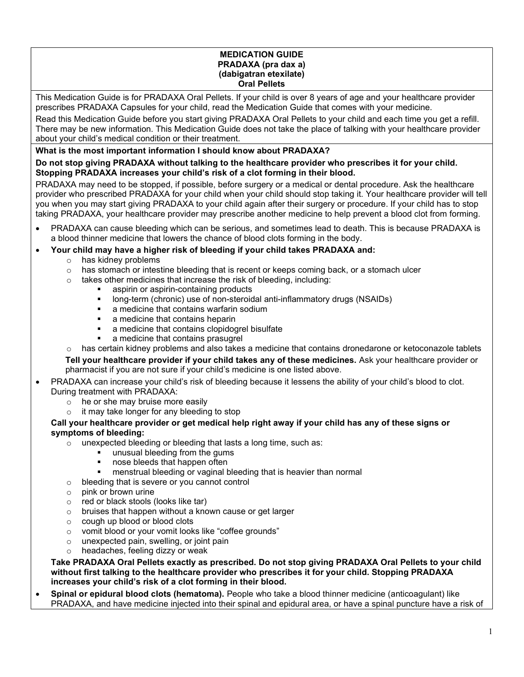#### MEDICATION GUIDE PRADAXA (pra dax a) (dabigatran etexilate) Oral Pellets

This Medication Guide is for PRADAXA Oral Pellets. If your child is over 8 years of age and your healthcare provider prescribes PRADAXA Capsules for your child, read the Medication Guide that comes with your medicine.

Read this Medication Guide before you start giving PRADAXA Oral Pellets to your child and each time you get a refill. There may be new information. This Medication Guide does not take the place of talking with your healthcare provider about your child's medical condition or their treatment.

# What is the most important information I should know about PRADAXA?

# Do not stop giving PRADAXA without talking to the healthcare provider who prescribes it for your child. Stopping PRADAXA increases your child's risk of a clot forming in their blood.

PRADAXA may need to be stopped, if possible, before surgery or a medical or dental procedure. Ask the healthcare provider who prescribed PRADAXA for your child when your child should stop taking it. Your healthcare provider will tell you when you may start giving PRADAXA to your child again after their surgery or procedure. If your child has to stop taking PRADAXA, your healthcare provider may prescribe another medicine to help prevent a blood clot from forming.

- PRADAXA can cause bleeding which can be serious, and sometimes lead to death. This is because PRADAXA is a blood thinner medicine that lowers the chance of blood clots forming in the body.
- Your child may have a higher risk of bleeding if your child takes PRADAXA and:
	- o has kidney problems
	- $\circ$  has stomach or intestine bleeding that is recent or keeps coming back, or a stomach ulcer
	- o takes other medicines that increase the risk of bleeding, including:
		- aspirin or aspirin-containing products
		- **•** long-term (chronic) use of non-steroidal anti-inflammatory drugs (NSAIDs)
		- **EXEC** a medicine that contains warfarin sodium
		- a medicine that contains heparin
		- a medicine that contains clopidogrel bisulfate
		- a medicine that contains prasugrel
	- $\circ$  has certain kidney problems and also takes a medicine that contains dronedarone or ketoconazole tablets

Tell your healthcare provider if your child takes any of these medicines. Ask your healthcare provider or pharmacist if you are not sure if your child's medicine is one listed above.

# PRADAXA can increase your child's risk of bleeding because it lessens the ability of your child's blood to clot. During treatment with PRADAXA:

- o he or she may bruise more easily
- o it may take longer for any bleeding to stop

## Call your healthcare provider or get medical help right away if your child has any of these signs or symptoms of bleeding:

- o unexpected bleeding or bleeding that lasts a long time, such as:
	- **unusual bleeding from the gums**
	- nose bleeds that happen often
	- menstrual bleeding or vaginal bleeding that is heavier than normal
- o bleeding that is severe or you cannot control
- o pink or brown urine
- o red or black stools (looks like tar)
- o bruises that happen without a known cause or get larger
- o cough up blood or blood clots
- o vomit blood or your vomit looks like "coffee grounds"
- o unexpected pain, swelling, or joint pain
- o headaches, feeling dizzy or weak

Take PRADAXA Oral Pellets exactly as prescribed. Do not stop giving PRADAXA Oral Pellets to your child without first talking to the healthcare provider who prescribes it for your child. Stopping PRADAXA increases your child's risk of a clot forming in their blood.

Spinal or epidural blood clots (hematoma). People who take a blood thinner medicine (anticoagulant) like PRADAXA, and have medicine injected into their spinal and epidural area, or have a spinal puncture have a risk of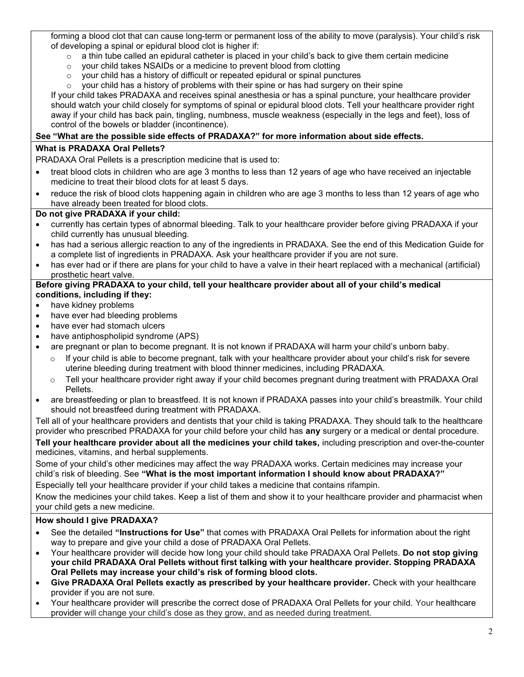forming a blood clot that can cause long-term or permanent loss of the ability to move (paralysis). Your child's risk of developing a spinal or epidural blood clot is higher if:

- $\circ$  a thin tube called an epidural catheter is placed in your child's back to give them certain medicine
- o your child takes NSAIDs or a medicine to prevent blood from clotting
- o your child has a history of difficult or repeated epidural or spinal punctures
- $\circ$  your child has a history of problems with their spine or has had surgery on their spine

If your child takes PRADAXA and receives spinal anesthesia or has a spinal puncture, your healthcare provider should watch your child closely for symptoms of spinal or epidural blood clots. Tell your healthcare provider right away if your child has back pain, tingling, numbness, muscle weakness (especially in the legs and feet), loss of control of the bowels or bladder (incontinence).

# See "What are the possible side effects of PRADAXA?" for more information about side effects.

## What is PRADAXA Oral Pellets?

PRADAXA Oral Pellets is a prescription medicine that is used to:

- treat blood clots in children who are age 3 months to less than 12 years of age who have received an injectable medicine to treat their blood clots for at least 5 days.
- reduce the risk of blood clots happening again in children who are age 3 months to less than 12 years of age who have already been treated for blood clots.

## Do not give PRADAXA if your child:

- currently has certain types of abnormal bleeding. Talk to your healthcare provider before giving PRADAXA if your child currently has unusual bleeding.
- has had a serious allergic reaction to any of the ingredients in PRADAXA. See the end of this Medication Guide for a complete list of ingredients in PRADAXA. Ask your healthcare provider if you are not sure.
- has ever had or if there are plans for your child to have a valve in their heart replaced with a mechanical (artificial) prosthetic heart valve.

#### Before giving PRADAXA to your child, tell your healthcare provider about all of your child's medical conditions, including if they:

- have kidney problems
- have ever had bleeding problems
- have ever had stomach ulcers
- have antiphospholipid syndrome (APS)
- are pregnant or plan to become pregnant. It is not known if PRADAXA will harm your child's unborn baby.
	- $\circ$  If your child is able to become pregnant, talk with your healthcare provider about your child's risk for severe uterine bleeding during treatment with blood thinner medicines, including PRADAXA.
	- $\circ$  Tell your healthcare provider right away if your child becomes pregnant during treatment with PRADAXA Oral Pellets.
- are breastfeeding or plan to breastfeed. It is not known if PRADAXA passes into your child's breastmilk. Your child should not breastfeed during treatment with PRADAXA.

Tell all of your healthcare providers and dentists that your child is taking PRADAXA. They should talk to the healthcare provider who prescribed PRADAXA for your child before your child has any surgery or a medical or dental procedure.

Tell your healthcare provider about all the medicines your child takes, including prescription and over-the-counter medicines, vitamins, and herbal supplements.

Some of your child's other medicines may affect the way PRADAXA works. Certain medicines may increase your child's risk of bleeding. See "What is the most important information I should know about PRADAXA?"

Especially tell your healthcare provider if your child takes a medicine that contains rifampin.

Know the medicines your child takes. Keep a list of them and show it to your healthcare provider and pharmacist when your child gets a new medicine.

## How should I give PRADAXA?

- See the detailed "Instructions for Use" that comes with PRADAXA Oral Pellets for information about the right way to prepare and give your child a dose of PRADAXA Oral Pellets.
- Your healthcare provider will decide how long your child should take PRADAXA Oral Pellets. Do not stop giving your child PRADAXA Oral Pellets without first talking with your healthcare provider. Stopping PRADAXA Oral Pellets may increase your child's risk of forming blood clots.
- Give PRADAXA Oral Pellets exactly as prescribed by your healthcare provider. Check with your healthcare provider if you are not sure.
- Your healthcare provider will prescribe the correct dose of PRADAXA Oral Pellets for your child. Your healthcare provider will change your child's dose as they grow, and as needed during treatment.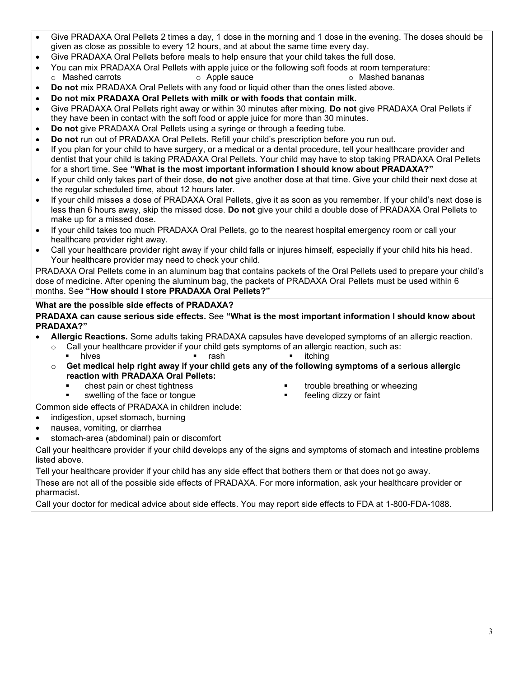- Give PRADAXA Oral Pellets 2 times a day, 1 dose in the morning and 1 dose in the evening. The doses should be given as close as possible to every 12 hours, and at about the same time every day.
- Give PRADAXA Oral Pellets before meals to help ensure that your child takes the full dose.
- You can mix PRADAXA Oral Pellets with apple juice or the following soft foods at room temperature:
	- $\circ$  Mashed carrots  $\circ$  Apple sauce  $\circ$  Mashed bananas
- Do not mix PRADAXA Oral Pellets with any food or liquid other than the ones listed above.
- Do not mix PRADAXA Oral Pellets with milk or with foods that contain milk.
- Give PRADAXA Oral Pellets right away or within 30 minutes after mixing. Do not give PRADAXA Oral Pellets if they have been in contact with the soft food or apple juice for more than 30 minutes.
- Do not give PRADAXA Oral Pellets using a syringe or through a feeding tube.
- Do not run out of PRADAXA Oral Pellets. Refill your child's prescription before you run out.
- If you plan for your child to have surgery, or a medical or a dental procedure, tell your healthcare provider and dentist that your child is taking PRADAXA Oral Pellets. Your child may have to stop taking PRADAXA Oral Pellets for a short time. See "What is the most important information I should know about PRADAXA?"
- If your child only takes part of their dose, **do not** give another dose at that time. Give your child their next dose at the regular scheduled time, about 12 hours later.
- If your child misses a dose of PRADAXA Oral Pellets, give it as soon as you remember. If your child's next dose is less than 6 hours away, skip the missed dose. Do not give your child a double dose of PRADAXA Oral Pellets to make up for a missed dose.
- If your child takes too much PRADAXA Oral Pellets, go to the nearest hospital emergency room or call your healthcare provider right away.
- Call your healthcare provider right away if your child falls or injures himself, especially if your child hits his head. Your healthcare provider may need to check your child.

PRADAXA Oral Pellets come in an aluminum bag that contains packets of the Oral Pellets used to prepare your child's dose of medicine. After opening the aluminum bag, the packets of PRADAXA Oral Pellets must be used within 6 months. See "How should I store PRADAXA Oral Pellets?"

# What are the possible side effects of PRADAXA?

PRADAXA can cause serious side effects. See "What is the most important information I should know about PRADAXA?"

- Allergic Reactions. Some adults taking PRADAXA capsules have developed symptoms of an allergic reaction.
	- o Call your healthcare provider if your child gets symptoms of an allergic reaction, such as:<br>■ hives hives rash itching

hives **rash rash itching** 

- $\circ$  Get medical help right away if your child gets any of the following symptoms of a serious allergic reaction with PRADAXA Oral Pellets:
	-
	- swelling of the face or tongue **finally only of the face of tongue** feeling dizzy or faint
- chest pain or chest tightness **the example of the example of the example of the example of the example of the example of the example of the example of the example of the example of the example of the example of the example** 
	-

Common side effects of PRADAXA in children include:

- indigestion, upset stomach, burning
- nausea, vomiting, or diarrhea
- stomach-area (abdominal) pain or discomfort

Call your healthcare provider if your child develops any of the signs and symptoms of stomach and intestine problems listed above.

Tell your healthcare provider if your child has any side effect that bothers them or that does not go away.

These are not all of the possible side effects of PRADAXA. For more information, ask your healthcare provider or pharmacist.

Call your doctor for medical advice about side effects. You may report side effects to FDA at 1-800-FDA-1088.